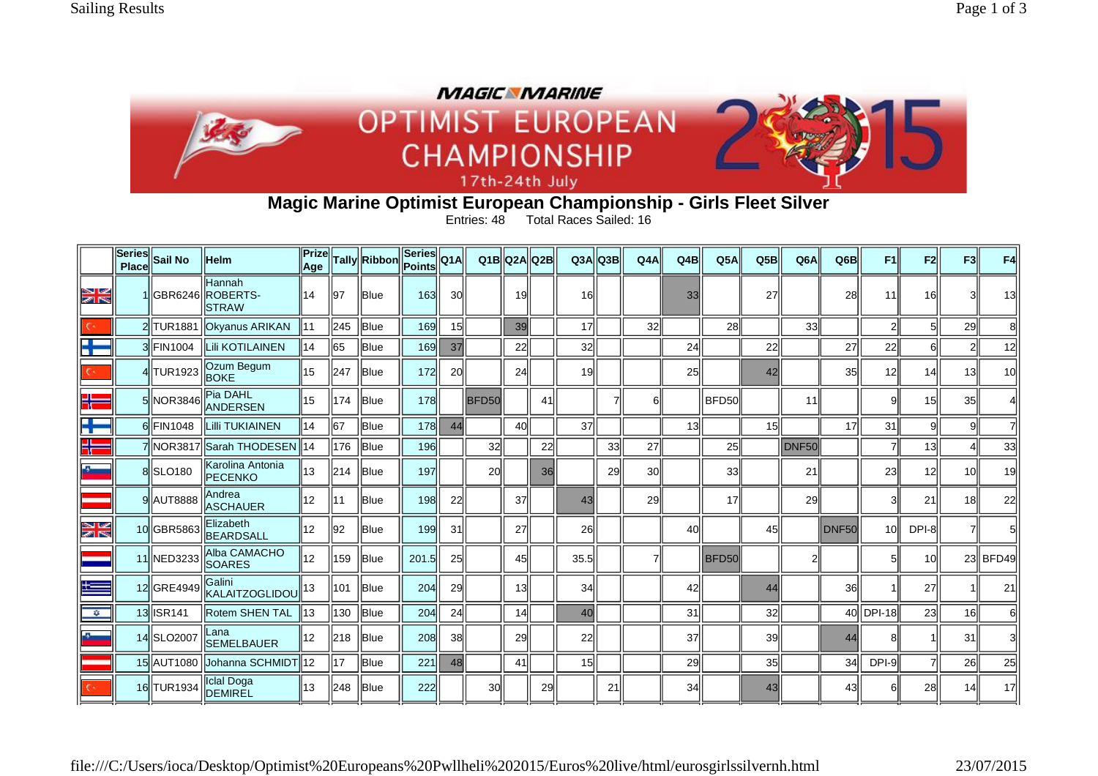

## **Magic Marine Optimist European Championship - Girls Fleet Silver**

Entries: 48 Total Races Sailed: 16

|               | <b>Series</b><br><b>Place</b> | <b>Sail No</b>       | <b>Helm</b>                                | Prizel<br>Age  |     | Tally Ribbon | $\sqrt{ \textsf{Series} }$ Q1A<br>Points |           |              | Q1B Q2A Q2B |           | Q3A             | Q3B | Q4A             | Q4B | Q5A   | Q5B             | Q <sub>6</sub> A  | Q6B               | F1        | F2              | F3              | F4              |
|---------------|-------------------------------|----------------------|--------------------------------------------|----------------|-----|--------------|------------------------------------------|-----------|--------------|-------------|-----------|-----------------|-----|-----------------|-----|-------|-----------------|-------------------|-------------------|-----------|-----------------|-----------------|-----------------|
| N<br>Mr       |                               |                      | Hannah<br>GBR6246 ROBERTS-<br><b>STRAW</b> | 14             | 197 | <b>IBlue</b> | 163                                      | 30        |              | 19          |           | 16              |     |                 | 33  |       | 27              |                   | 28                | 11        | 16              |                 | 13              |
|               |                               |                      | 2 TUR1881   Okyanus ARIKAN                 | 11             | 245 | <b>Blue</b>  | 169                                      | 15        |              | 39          |           | 17              |     | 32 <sub>l</sub> |     | 28    |                 | 33                |                   |           | 51              | 29              |                 |
| ÷             |                               | 3 FIN1004            | <b>Lii KOTILAINEN</b>                      | 14             | 65  | Blue         | 169                                      | 37        |              | 22          |           | 32 <sub>2</sub> |     |                 | 24  |       | 22              |                   | 27                | 22        | 6               | $\overline{2}$  | 12              |
| $\epsilon$    |                               | 4 TUR1923            | Ozum Begum<br><b>BOKE</b>                  | 15             | 247 | <b>Blue</b>  | 172                                      | <b>20</b> |              | 24          |           | 19              |     |                 | 25  |       | 42              |                   | 35                | 12        | 14              | 13II            | 10 <sup>1</sup> |
| ۲.            |                               | 5 NOR3846            | Pia DAHL<br><b>ANDERSEN</b>                | 15             | 174 | Blue         | <b>178</b>                               |           | <b>BFD50</b> |             | 41        |                 |     | 61              |     | BFD50 |                 | 11                |                   | g         | 15              | 35              |                 |
| ╋             |                               | 6 FIN1048            | <b>Lilli TUKIAINEN</b>                     | 14             | 67  | Blue         | 178                                      | 44        |              | 40          |           | 37              |     |                 | 13  |       | 15 <sup>1</sup> |                   | 17                | 31        | 9               | 9               |                 |
| H             |                               |                      | 7 NOR3817 Sarah THODESEN                   | $\parallel$ 14 | 176 | Blue         | 196                                      |           | 32           |             | 22        |                 | 33  | 27              |     | 25    |                 | DNF <sub>50</sub> |                   |           | 13              |                 | 33              |
| Ł             |                               | 8 SLO <sub>180</sub> | Karolina Antonia<br><b>PECENKO</b>         | 13             | 214 | <b>Blue</b>  | 197                                      |           | <b>20</b>    |             | <b>36</b> |                 | 29  | 30 <sup>l</sup> |     | 33    |                 | 21                |                   | 23        | 12 <sup>1</sup> | 10              | 19              |
|               |                               | 9 AUT8888            | Andrea<br><b>ASCHAUER</b>                  | 12             | 11  | <b>IBlue</b> | 198                                      | 22        |              | 37          |           | 43              |     | <b>29</b>       |     | 17    |                 | 29                |                   | Э         | 21              | 18              | 22              |
| N<br>Mr       |                               | 10 GBR5863           | Elizabeth<br><b>BEARDSALL</b>              | 12             | 92  | Blue         | 199                                      | 31        |              | 27          |           | 26              |     |                 | 40  |       | 45              |                   | DNF <sub>50</sub> | 10        | DPI-8           |                 |                 |
|               |                               | 11 NED3233           | Alba CAMACHO<br><b>SOARES</b>              | 12             | 159 | <b>Blue</b>  | 201.5                                    | 25        |              | 45          |           | 35.5            |     |                 |     | BFD50 |                 |                   |                   |           | 10              |                 | 23 BFD49        |
| ŧ             |                               | 12 GRE4949           | Galini<br><b>KALAITZOGLIDOU</b>            | 13             | 101 | <b>IBlue</b> | 204                                      | 29        |              | 13          |           | 34              |     |                 | 42  |       | 44              |                   | 36                |           | 27              |                 | 21              |
| $\frac{1}{2}$ |                               | 13 <b>ISR141</b>     | <b>Rotem SHEN TAL</b>                      | 13             | 130 | Blue         | 204                                      | 24        |              | 14          |           | 40              |     |                 | 31  |       | 32              |                   |                   | 40 DPI-18 | 23              | 16 <sup>l</sup> |                 |
| -3-           |                               | 14 SLO2007           | lLana<br><b>SEMELBAUER</b>                 | 12             | 218 | <b>Blue</b>  | 208                                      | 38        |              | 29          |           | 22              |     |                 | 37  |       | 39              |                   | 44                | Я         |                 | 31              |                 |
|               |                               |                      | 15 AUT1080 Johanna SCHMIDT 12              |                | 17  | <b>Blue</b>  | 221                                      | 48        |              | 41          |           | 15 <sup>1</sup> |     |                 | 29  |       | 35              |                   | 34                | DPI-9     | 7               | <b>26</b>       | 25              |
|               |                               | 16 TUR1934           | Iclal Doga<br>DEMIREL                      | 13             | 248 | <b>IBlue</b> | 222                                      |           | 30l          |             | 29        |                 | 21  |                 | 34  |       | 43              |                   | 43                | 6         | 28              | 14              | 17              |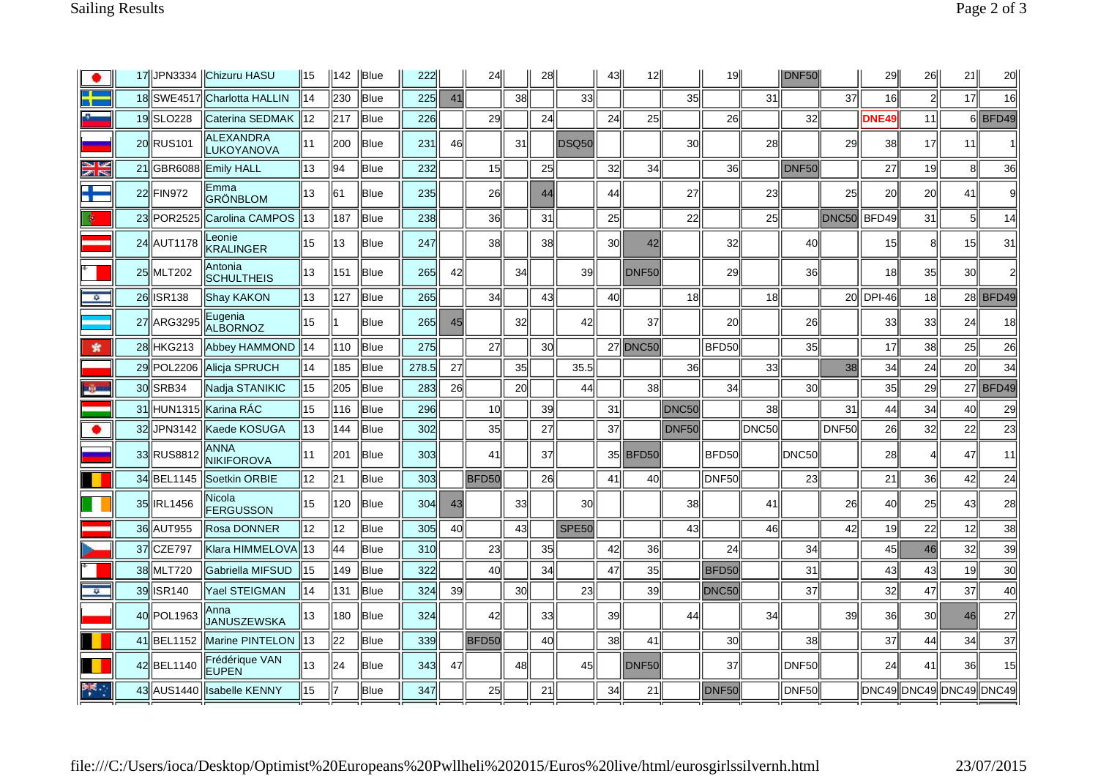|                 |    |             | 17 JPN3334   Chizuru HASU      | ∥15 | 142 | Blue        | 222        |    | 24              |    | 28              |              | 43 | 12 <sub>l</sub>   |              | 19I               |       | DNF50             |                   | 29           | 26       | 21              | 20                      |
|-----------------|----|-------------|--------------------------------|-----|-----|-------------|------------|----|-----------------|----|-----------------|--------------|----|-------------------|--------------|-------------------|-------|-------------------|-------------------|--------------|----------|-----------------|-------------------------|
|                 |    |             | 18 SWE4517 Charlotta HALLIN    | 14  | 230 | Blue        | 225        | 41 |                 | 38 |                 | 33           |    |                   | 35           |                   | 31l   |                   | 37                | 16           | $2\vert$ | 17              | 16                      |
|                 |    | 19 SLO228   | Caterina SEDMAK                | 12  | 217 | <b>Blue</b> | 226        |    | 29              |    | 24              |              | 24 | 25                |              | 26                |       | 32                |                   | <b>DNE49</b> | 11       |                 | $6$ BFD49               |
|                 |    | 20 RUS101   | <b>ALEXANDRA</b><br>LUKOYANOVA | 11  | 200 | <b>Blue</b> | 231        | 46 |                 | 31 |                 | <b>DSQ50</b> |    |                   | 30           |                   | 28    |                   | 29                | 38           | 17       | 11              |                         |
| N<br>K          |    | 21 GBR6088  | <b>Emily HALL</b>              | 13  | 94  | Blue        | 232        |    | 15              |    | 25              |              | 32 | 34                |              | 36                |       | DNF <sub>50</sub> |                   | 27           | 19       | 8               | 36                      |
| ÷               |    | 22 FIN972   | Emma<br>GRÖNBLOM               | 13  | 161 | <b>Blue</b> | 235        |    | 26              |    | 44              |              | 44 |                   | 27           |                   | 23    |                   | 25                | 20           | 20       | 41              | 9I                      |
|                 |    | 23 POR 2525 | Carolina CAMPOS                | 13  | 187 | Blue        | 238        |    | 36              |    | 31              |              | 25 |                   | 22           |                   | 25    |                   | DNC <sub>50</sub> | BFD49        | 31       | 5               | 14                      |
|                 |    | 24 AUT1178  | Leonie<br><b>KRALINGER</b>     | 15  | 13  | Blue        | 247        |    | 38              |    | 38              |              | 30 | 42                |              | 32                |       | 40                |                   | 15           | 8        | 15              | 31                      |
|                 |    | 25 MLT202   | Antonia<br><b>SCHULTHEIS</b>   | 13  | 151 | Blue        | 265        | 42 |                 | 34 |                 | 39           |    | DNF <sub>50</sub> |              | 29                |       | <b>36</b>         |                   | 18           | 35       | 30              |                         |
| ÷.              |    | 26 ISR138   | Shay KAKON                     | 13  | 127 | <b>Blue</b> | 265        |    | 34              |    | 43              |              | 40 |                   | 18           |                   | 18    |                   |                   | 20 IDPI-46   | 18       |                 | 28 BFD49                |
|                 |    | 27 ARG3295  | Eugenia<br><b>ALBORNOZ</b>     | 15  |     | <b>Blue</b> | <b>265</b> | 45 |                 | 32 |                 | 42           |    | 37                |              | 20                |       | <b>26</b>         |                   | 33           | 33       | 24              | 18                      |
| 索               |    | 28 HKG213   | Abbey HAMMOND                  | 14  | 110 | Blue        | 275        |    | 27              |    | 30 <sup>l</sup> |              |    | <b>27 DNC50</b>   |              | BFD50             |       | 35                |                   | 17           | 38       | 25              | 26                      |
|                 |    | 29 POL2206  | <b>Alicia SPRUCH</b>           | 14  | 185 | <b>Blue</b> | 278.5      | 27 |                 | 35 |                 | 35.5         |    |                   | 36           |                   | 33    |                   | 38                | 34           | 24       | 20 <sup>1</sup> | 34                      |
| <b>Separate</b> |    | 30 SRB34    | Nadja STANIKIC                 | 15  | 205 | Blue        | 283        | 26 |                 | 20 |                 | 44           |    | 38                |              | 34                |       | 30                |                   | 35           | 29       |                 | 27 BFD49                |
|                 |    |             | 31 HUN1315 Karina RÁC          | 15  | 116 | lBlue       | 296        |    | 10 <sup>1</sup> |    | 39              |              | 31 |                   | DNC50        |                   | 38    |                   | 31                | 44           | 34       | 40              | 29                      |
| ۰               |    | 32 JPN3142  | Kaede KOSUGA                   | 13  | 144 | Blue        | 302        |    | 35              |    | 27              |              | 37 |                   | <b>DNF50</b> |                   | DNC50 |                   | DNF50             | 26           | 32       | 22              | 23                      |
|                 |    | 33 RUS8812  | ANNA<br><b>NIKIFOROVA</b>      | 11  | 201 | lBlue       | 303        |    | 41              |    | 37              |              |    | 35 BFD50          |              | <b>BFD50</b>      |       | DNC50             |                   | 28           |          | 47              | 11                      |
|                 |    | 34 BEL1145  | Soetkin ORBIE                  | 12  | 21  | Blue        | 303        |    | BFD50           |    | 26              |              | 41 | 40                |              | DNF <sub>50</sub> |       | 23                |                   | 21           | 36       | 42              | 24                      |
|                 |    | 35 IRL1456  | Nicola<br><b>FERGUSSON</b>     | 15  | 120 | Blue        | 304        | 43 |                 | 33 |                 | 30           |    |                   | 38           |                   | 41    |                   | 26                | 40           | 25       | 43              | 28                      |
|                 |    | 36 AUT955   | Rosa DONNER                    | 12  | 12  | Blue        | 305        | 40 |                 | 43 |                 | <b>SPE50</b> |    |                   | 43           |                   | 46    |                   | 42                | 19           | 22       | 12              | 38                      |
|                 | 37 | CZE797      | Klara HIMMELOVA  13            |     | 44  | <b>Blue</b> | 310        |    | 23              |    | 35              |              | 42 | 36                |              | 24                |       | 34                |                   | 45           | 46       | 32              | 39                      |
|                 |    | 38 MLT720   | Gabriella MIFSUD               | 15  | 149 | lBlue       | 322        |    | 40l             |    | 34              |              | 47 | 35                |              | <b>BFD50</b>      |       | 31                |                   | 43           | 43       | 19              | 30                      |
| ÷.              |    | 39 ISR140   | <b>Yael STEIGMAN</b>           | 14  | 131 | Blue        | 324        | 39 |                 | 30 |                 | 23           |    | 39                |              | DNC50             |       | 37                |                   | 32           | 47       | 37              | 40                      |
|                 |    | 40 POL1963  | Anna<br>JANUSZEWSKA            | 13  | 180 | Blue        | 324        |    | 42              |    | 33              |              | 39 |                   | 44           |                   | 34    |                   | 39                | 36           | 30       | 46              | 27                      |
|                 |    | 41 BEL1152  | Marine PINTELON                | 13  | 22  | lBlue       | 339        |    | <b>BFD50</b>    |    | 40l             |              | 38 | 41                |              | 30                |       | 38                |                   | 37           | 44       | 34              | 37                      |
|                 |    | 42 BEL1140  | Frédérique VAN<br><b>EUPEN</b> | 13  | 24  | lBlue       | 343        | 47 |                 | 48 |                 | 45           |    | DNF <sub>50</sub> |              | 37                |       | <b>DNF50</b>      |                   | 24           | 41       | 36              | 15                      |
| ₩               |    | 43 AUS1440  | <b>Isabelle KENNY</b>          | 15  |     | Blue        | 347        |    | 25              |    | 21              |              | 34 | 21                |              | <b>DNF50</b>      |       | <b>DNF50</b>      |                   |              |          |                 | DNC49 DNC49 DNC49 DNC49 |
|                 |    |             |                                |     |     |             |            |    |                 |    |                 |              |    |                   |              |                   |       |                   |                   |              |          |                 |                         |